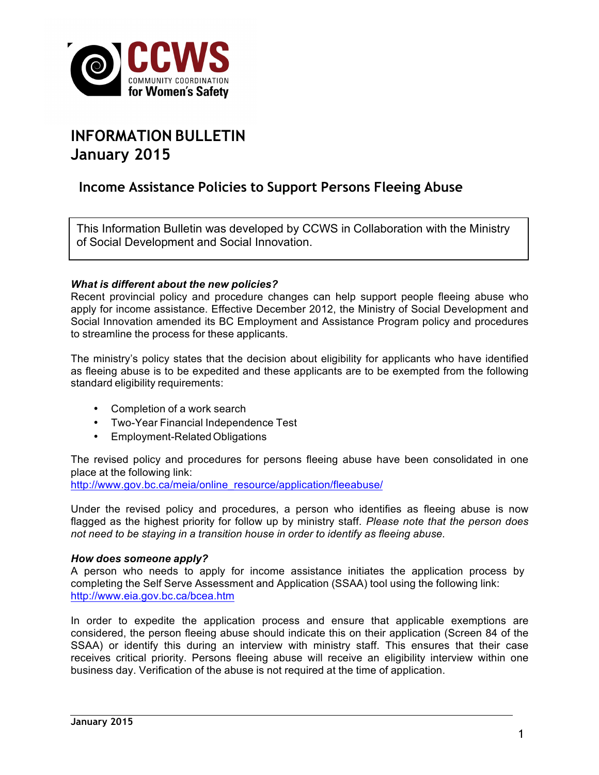

# **INFORMATION BULLETIN January 2015**

## **Income Assistance Policies to Support Persons Fleeing Abuse**

This Information Bulletin was developed by CCWS in Collaboration with the Ministry of Social Development and Social Innovation.

#### *What is different about the new policies?*

Recent provincial policy and procedure changes can help support people fleeing abuse who apply for income assistance. Effective December 2012, the Ministry of Social Development and Social Innovation amended its BC Employment and Assistance Program policy and procedures to streamline the process for these applicants.

The ministry's policy states that the decision about eligibility for applicants who have identified as fleeing abuse is to be expedited and these applicants are to be exempted from the following standard eligibility requirements:

- Completion of a work search
- Two-Year Financial Independence Test
- Employment-Related Obligations

The revised policy and procedures for persons fleeing abuse have been consolidated in one place at the following link:

http://www.gov.bc.ca/meia/online\_resource/application/fleeabuse/

Under the revised policy and procedures, a person who identifies as fleeing abuse is now flagged as the highest priority for follow up by ministry staff. *Please note that the person does not need to be staying in a transition house in order to identify as fleeing abuse.*

#### *How does someone apply?*

A person who needs to apply for income assistance initiates the application process by completing the Self Serve Assessment and Application (SSAA) tool using the following link: http://www.eia.gov.bc.ca/bcea.htm

In order to expedite the application process and ensure that applicable exemptions are considered, the person fleeing abuse should indicate this on their application (Screen 84 of the SSAA) or identify this during an interview with ministry staff. This ensures that their case receives critical priority. Persons fleeing abuse will receive an eligibility interview within one business day. Verification of the abuse is not required at the time of application.